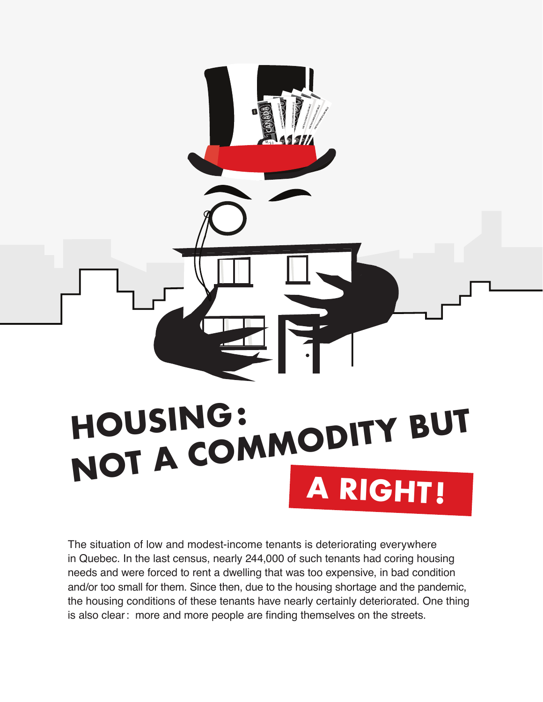

The situation of low and modest-income tenants is deteriorating everywhere in Quebec. In the last census, nearly 244,000 of such tenants had coring housing needs and were forced to rent a dwelling that was too expensive, in bad condition and/or too small for them. Since then, due to the housing shortage and the pandemic, the housing conditions of these tenants have nearly certainly deteriorated. One thing is also clear: more and more people are finding themselves on the streets.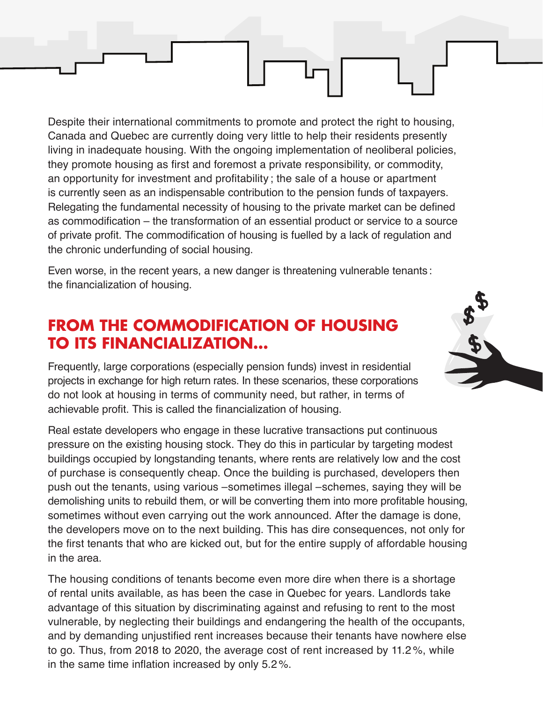Despite their international commitments to promote and protect the right to housing, Canada and Quebec are currently doing very little to help their residents presently living in inadequate housing. With the ongoing implementation of neoliberal policies, they promote housing as first and foremost a private responsibility, or commodity, an opportunity for investment and profitability ; the sale of a house or apartment is currently seen as an indispensable contribution to the pension funds of taxpayers. Relegating the fundamental necessity of housing to the private market can be defined as commodification – the transformation of an essential product or service to a source of private profit. The commodification of housing is fuelled by a lack of regulation and the chronic underfunding of social housing.

Even worse, in the recent years, a new danger is threatening vulnerable tenants : the financialization of housing.

## **FROM THE COMMODIFICATION OF HOUSING TO ITS FINANCIALIZATION…**

Frequently, large corporations (especially pension funds) invest in residential projects in exchange for high return rates. In these scenarios, these corporations do not look at housing in terms of community need, but rather, in terms of achievable profit. This is called the financialization of housing.

Real estate developers who engage in these lucrative transactions put continuous pressure on the existing housing stock. They do this in particular by targeting modest buildings occupied by longstanding tenants, where rents are relatively low and the cost of purchase is consequently cheap. Once the building is purchased, developers then push out the tenants, using various –sometimes illegal –schemes, saying they will be demolishing units to rebuild them, or will be converting them into more profitable housing, sometimes without even carrying out the work announced. After the damage is done, the developers move on to the next building. This has dire consequences, not only for the first tenants that who are kicked out, but for the entire supply of affordable housing in the area.

The housing conditions of tenants become even more dire when there is a shortage of rental units available, as has been the case in Quebec for years. Landlords take advantage of this situation by discriminating against and refusing to rent to the most vulnerable, by neglecting their buildings and endangering the health of the occupants, and by demanding unjustified rent increases because their tenants have nowhere else to go. Thus, from 2018 to 2020, the average cost of rent increased by 11.2 %, while in the same time inflation increased by only 5.2%.

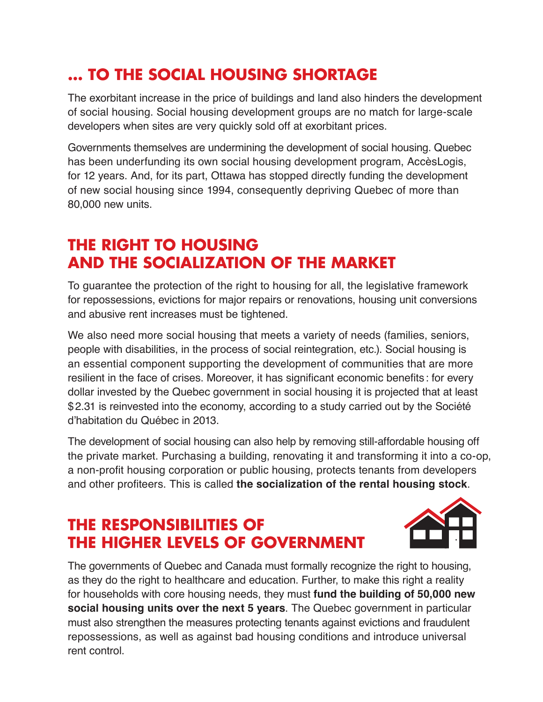## **… TO THE SOCIAL HOUSING SHORTAGE**

The exorbitant increase in the price of buildings and land also hinders the development of social housing. Social housing development groups are no match for large-scale developers when sites are very quickly sold off at exorbitant prices.

Governments themselves are undermining the development of social housing. Quebec has been underfunding its own social housing development program, AccèsLogis, for 12 years. And, for its part, Ottawa has stopped directly funding the development of new social housing since 1994, consequently depriving Quebec of more than 80,000 new units.

## **THE RIGHT TO HOUSING AND THE SOCIALIZATION OF THE MARKET**

To guarantee the protection of the right to housing for all, the legislative framework for repossessions, evictions for major repairs or renovations, housing unit conversions and abusive rent increases must be tightened.

We also need more social housing that meets a variety of needs (families, seniors, people with disabilities, in the process of social reintegration, etc.). Social housing is an essential component supporting the development of communities that are more resilient in the face of crises. Moreover, it has significant economic benefits : for every dollar invested by the Quebec government in social housing it is projected that at least \$2.31 is reinvested into the economy, according to a study carried out by the Société d'habitation du Québec in 2013.

The development of social housing can also help by removing still-affordable housing off the private market. Purchasing a building, renovating it and transforming it into a co-op, a non-profit housing corporation or public housing, protects tenants from developers and other profiteers. This is called **the socialization of the rental housing stock**.

## **THE RESPONSIBILITIES OF THE HIGHER LEVELS OF GOVERNMENT**



The governments of Quebec and Canada must formally recognize the right to housing, as they do the right to healthcare and education. Further, to make this right a reality for households with core housing needs, they must **fund the building of 50,000 new social housing units over the next 5 years**. The Quebec government in particular must also strengthen the measures protecting tenants against evictions and fraudulent repossessions, as well as against bad housing conditions and introduce universal rent control.